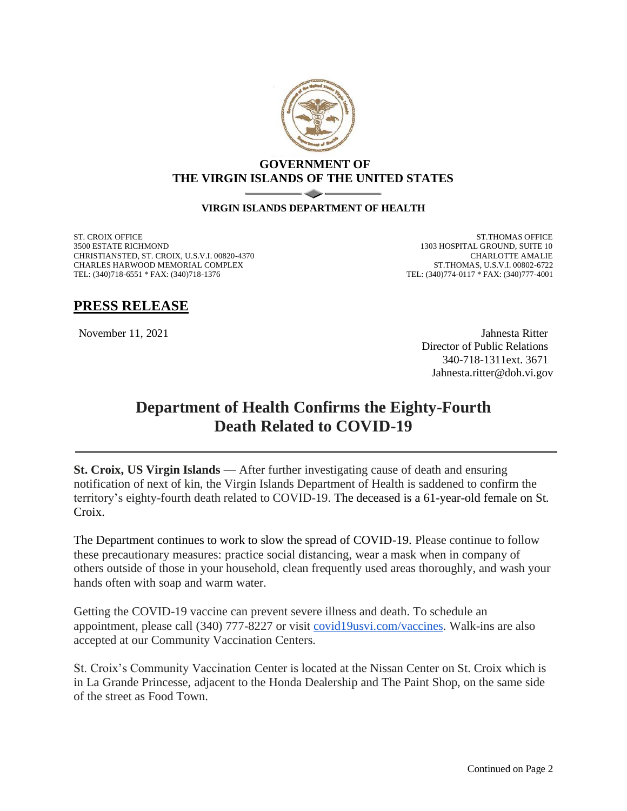

## **GOVERNMENT OF THE VIRGIN ISLANDS OF THE UNITED STATES**

## **VIRGIN ISLANDS DEPARTMENT OF HEALTH**

ST. CROIX OFFICE 3500 ESTATE RICHMOND CHRISTIANSTED, ST. CROIX, U.S.V.I. 00820-4370 CHARLES HARWOOD MEMORIAL COMPLEX TEL: (340)718-6551 \* FAX: (340)718-1376

ST.THOMAS OFFICE 1303 HOSPITAL GROUND, SUITE 10 CHARLOTTE AMALIE ST.THOMAS, U.S.V.I. 00802-6722 TEL: (340)774-0117 \* FAX: (340)777-4001

## **PRESS RELEASE**

November 11, 2021 Jahnesta Ritter Director of Public Relations 340-718-1311ext. 3671 Jahnesta.ritter@doh.vi.gov

## **Department of Health Confirms the Eighty-Fourth Death Related to COVID-19**

**St. Croix, US Virgin Islands** — After further investigating cause of death and ensuring notification of next of kin, the Virgin Islands Department of Health is saddened to confirm the territory's eighty-fourth death related to COVID-19. The deceased is a 61-year-old female on St. Croix.

The Department continues to work to slow the spread of COVID-19. Please continue to follow these precautionary measures: practice social distancing, wear a mask when in company of others outside of those in your household, clean frequently used areas thoroughly, and wash your hands often with soap and warm water.

Getting the COVID-19 vaccine can prevent severe illness and death. To schedule an appointment, please call (340) 777-8227 or visit [covid19usvi.com/vaccines.](http://covid19usvi.com/vaccines) Walk-ins are also accepted at our Community Vaccination Centers.

St. Croix's Community Vaccination Center is located at the Nissan Center on St. Croix which is in La Grande Princesse, adjacent to the Honda Dealership and The Paint Shop, on the same side of the street as Food Town.